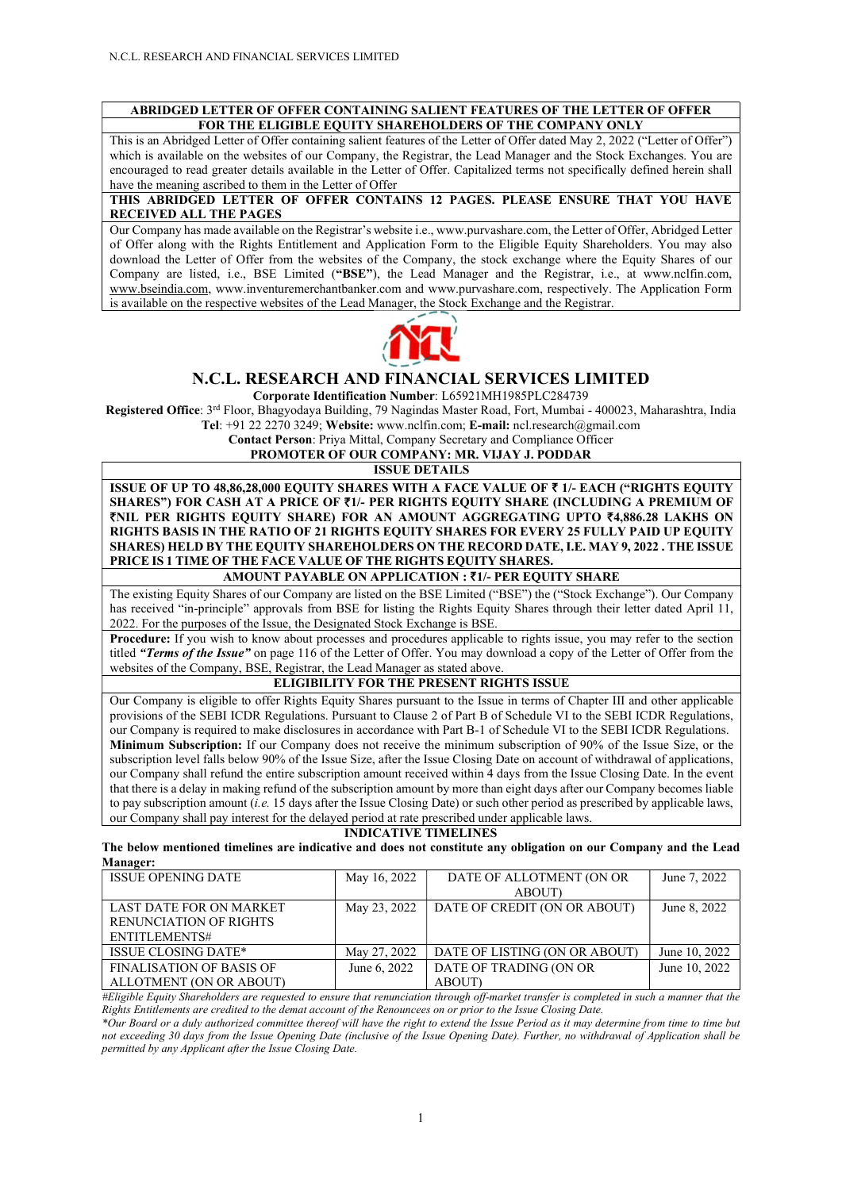#### ABRIDGED LETTER OF OFFER CONTAINING SALIENT FEATURES OF THE LETTER OF OFFER FOR THE ELIGIBLE EQUITY SHAREHOLDERS OF THE COMPANY ONLY

This is an Abridged Letter of Offer containing salient features of the Letter of Offer dated May 2, 2022 ("Letter of Offer") which is available on the websites of our Company, the Registrar, the Lead Manager and the Stock Exchanges. You are encouraged to read greater details available in the Letter of Offer. Capitalized terms not specifically defined herein shall have the meaning ascribed to them in the Letter of Offer

#### THIS ABRIDGED LETTER OF OFFER CONTAINS 12 PAGES. PLEASE ENSURE THAT YOU HAVE RECEIVED ALL THE PAGES

Our Company has made available on the Registrar's website i.e., www.purvashare.com, the Letter of Offer, Abridged Letter of Offer along with the Rights Entitlement and Application Form to the Eligible Equity Shareholders. You may also download the Letter of Offer from the websites of the Company, the stock exchange where the Equity Shares of our Company are listed, i.e., BSE Limited ("BSE"), the Lead Manager and the Registrar, i.e., at www.nclfin.com, www.bseindia.com, www.inventuremerchantbanker.com and www.purvashare.com, respectively. The Application Form is available on the respective websites of the Lead Manager, the Stock Exchange and the Registrar.



## N.C.L. RESEARCH AND FINANCIAL SERVICES LIMITED

Corporate Identification Number: L65921MH1985PLC284739

Registered Office: 3rd Floor, Bhagyodaya Building, 79 Nagindas Master Road, Fort, Mumbai - 400023, Maharashtra, India Tel: +91 22 2270 3249; Website: www.nclfin.com; E-mail: ncl.research@gmail.com

Contact Person: Priya Mittal, Company Secretary and Compliance Officer

PROMOTER OF OUR COMPANY: MR. VIJAY J. PODDAR

#### ISSUE DETAILS

ISSUE OF UP TO 48,86,28,000 EQUITY SHARES WITH A FACE VALUE OF  $\bar{\tau}$  1/- EACH ("RIGHTS EQUITY SHARES") FOR CASH AT A PRICE OF ₹1/- PER RIGHTS EQUITY SHARE (INCLUDING A PREMIUM OF ₹NIL PER RIGHTS EQUITY SHARE) FOR AN AMOUNT AGGREGATING UPTO ₹4,886.28 LAKHS ON RIGHTS BASIS IN THE RATIO OF 21 RIGHTS EQUITY SHARES FOR EVERY 25 FULLY PAID UP EQUITY SHARES) HELD BY THE EQUITY SHAREHOLDERS ON THE RECORD DATE, I.E. MAY 9, 2022 . THE ISSUE PRICE IS 1 TIME OF THE FACE VALUE OF THE RIGHTS EQUITY SHARES.

## AMOUNT PAYABLE ON APPLICATION : ₹1/- PER EQUITY SHARE

The existing Equity Shares of our Company are listed on the BSE Limited ("BSE") the ("Stock Exchange"). Our Company has received "in-principle" approvals from BSE for listing the Rights Equity Shares through their letter dated April 11, 2022. For the purposes of the Issue, the Designated Stock Exchange is BSE.

Procedure: If you wish to know about processes and procedures applicable to rights issue, you may refer to the section titled "Terms of the Issue" on page 116 of the Letter of Offer. You may download a copy of the Letter of Offer from the websites of the Company, BSE, Registrar, the Lead Manager as stated above.

## ELIGIBILITY FOR THE PRESENT RIGHTS ISSUE

Our Company is eligible to offer Rights Equity Shares pursuant to the Issue in terms of Chapter III and other applicable provisions of the SEBI ICDR Regulations. Pursuant to Clause 2 of Part B of Schedule VI to the SEBI ICDR Regulations, our Company is required to make disclosures in accordance with Part B-1 of Schedule VI to the SEBI ICDR Regulations. Minimum Subscription: If our Company does not receive the minimum subscription of 90% of the Issue Size, or the subscription level falls below 90% of the Issue Size, after the Issue Closing Date on account of withdrawal of applications, our Company shall refund the entire subscription amount received within 4 days from the Issue Closing Date. In the event that there is a delay in making refund of the subscription amount by more than eight days after our Company becomes liable to pay subscription amount (i.e. 15 days after the Issue Closing Date) or such other period as prescribed by applicable laws, our Company shall pay interest for the delayed period at rate prescribed under applicable laws.

#### INDICATIVE TIMELINES

The below mentioned timelines are indicative and does not constitute any obligation on our Company and the Lead Manager:

| <b>ISSUE OPENING DATE</b>       | May 16, 2022 | DATE OF ALLOTMENT (ON OR      | June 7, 2022  |
|---------------------------------|--------------|-------------------------------|---------------|
|                                 |              | ABOUT)                        |               |
| LAST DATE FOR ON MARKET         | May 23, 2022 | DATE OF CREDIT (ON OR ABOUT)  | June 8, 2022  |
| <b>RENUNCIATION OF RIGHTS</b>   |              |                               |               |
| ENTITLEMENTS#                   |              |                               |               |
| <b>ISSUE CLOSING DATE*</b>      | May 27, 2022 | DATE OF LISTING (ON OR ABOUT) | June 10, 2022 |
| <b>FINALISATION OF BASIS OF</b> | June 6, 2022 | DATE OF TRADING (ON OR        | June 10, 2022 |
| ALLOTMENT (ON OR ABOUT)         |              | ABOUT)                        |               |

#Eligible Equity Shareholders are requested to ensure that renunciation through off-market transfer is completed in such a manner that the Rights Entitlements are credited to the demat account of the Renouncees on or prior to the Issue Closing Date.

\*Our Board or a duly authorized committee thereof will have the right to extend the Issue Period as it may determine from time to time but not exceeding 30 days from the Issue Opening Date (inclusive of the Issue Opening Date). Further, no withdrawal of Application shall be permitted by any Applicant after the Issue Closing Date.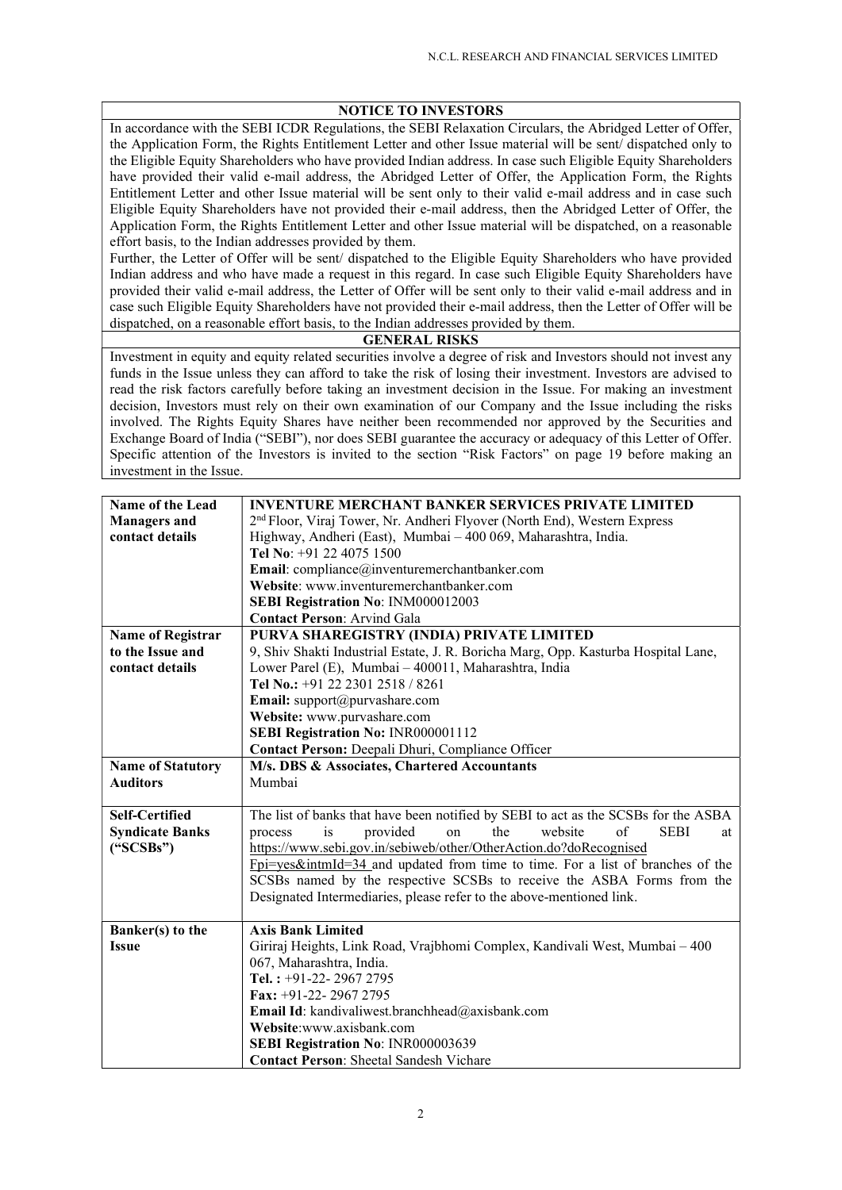## NOTICE TO INVESTORS

In accordance with the SEBI ICDR Regulations, the SEBI Relaxation Circulars, the Abridged Letter of Offer, the Application Form, the Rights Entitlement Letter and other Issue material will be sent/ dispatched only to the Eligible Equity Shareholders who have provided Indian address. In case such Eligible Equity Shareholders have provided their valid e-mail address, the Abridged Letter of Offer, the Application Form, the Rights Entitlement Letter and other Issue material will be sent only to their valid e-mail address and in case such Eligible Equity Shareholders have not provided their e-mail address, then the Abridged Letter of Offer, the Application Form, the Rights Entitlement Letter and other Issue material will be dispatched, on a reasonable effort basis, to the Indian addresses provided by them.

Further, the Letter of Offer will be sent/ dispatched to the Eligible Equity Shareholders who have provided Indian address and who have made a request in this regard. In case such Eligible Equity Shareholders have provided their valid e-mail address, the Letter of Offer will be sent only to their valid e-mail address and in case such Eligible Equity Shareholders have not provided their e-mail address, then the Letter of Offer will be dispatched, on a reasonable effort basis, to the Indian addresses provided by them.

## GENERAL RISKS

Investment in equity and equity related securities involve a degree of risk and Investors should not invest any funds in the Issue unless they can afford to take the risk of losing their investment. Investors are advised to read the risk factors carefully before taking an investment decision in the Issue. For making an investment decision, Investors must rely on their own examination of our Company and the Issue including the risks involved. The Rights Equity Shares have neither been recommended nor approved by the Securities and Exchange Board of India ("SEBI"), nor does SEBI guarantee the accuracy or adequacy of this Letter of Offer. Specific attention of the Investors is invited to the section "Risk Factors" on page 19 before making an investment in the Issue.

| <b>INVENTURE MERCHANT BANKER SERVICES PRIVATE LIMITED</b>                            |
|--------------------------------------------------------------------------------------|
| 2 <sup>nd</sup> Floor, Viraj Tower, Nr. Andheri Flyover (North End), Western Express |
| Highway, Andheri (East), Mumbai - 400 069, Maharashtra, India.                       |
| Tel No: +91 22 4075 1500                                                             |
| Email: compliance@inventuremerchantbanker.com                                        |
| Website: www.inventuremerchantbanker.com                                             |
| SEBI Registration No: INM000012003                                                   |
| <b>Contact Person: Arvind Gala</b>                                                   |
| PURVA SHAREGISTRY (INDIA) PRIVATE LIMITED                                            |
| 9, Shiv Shakti Industrial Estate, J. R. Boricha Marg, Opp. Kasturba Hospital Lane,   |
| Lower Parel (E), Mumbai - 400011, Maharashtra, India                                 |
| Tel No.: +91 22 2301 2518 / 8261                                                     |
| Email: support@purvashare.com                                                        |
| Website: www.purvashare.com                                                          |
| SEBI Registration No: INR000001112                                                   |
| Contact Person: Deepali Dhuri, Compliance Officer                                    |
| M/s. DBS & Associates, Chartered Accountants                                         |
| Mumbai                                                                               |
|                                                                                      |
| The list of banks that have been notified by SEBI to act as the SCSBs for the ASBA   |
| the<br>website<br>$\sigma$<br><b>SEBI</b><br>provided<br>process<br>is<br>on<br>at   |
| https://www.sebi.gov.in/sebiweb/other/OtherAction.do?doRecognised                    |
| Fpi=yes&intmId=34 and updated from time to time. For a list of branches of the       |
| SCSBs named by the respective SCSBs to receive the ASBA Forms from the               |
| Designated Intermediaries, please refer to the above-mentioned link.                 |
| <b>Axis Bank Limited</b>                                                             |
| Giriraj Heights, Link Road, Vrajbhomi Complex, Kandivali West, Mumbai - 400          |
| 067, Maharashtra, India.                                                             |
| Tel.: $+91-22-29672795$                                                              |
| Fax: +91-22-29672795                                                                 |
| Email Id: kandivaliwest.branchhead@axisbank.com                                      |
| Website:www.axisbank.com                                                             |
| SEBI Registration No: INR000003639                                                   |
| <b>Contact Person: Sheetal Sandesh Vichare</b>                                       |
|                                                                                      |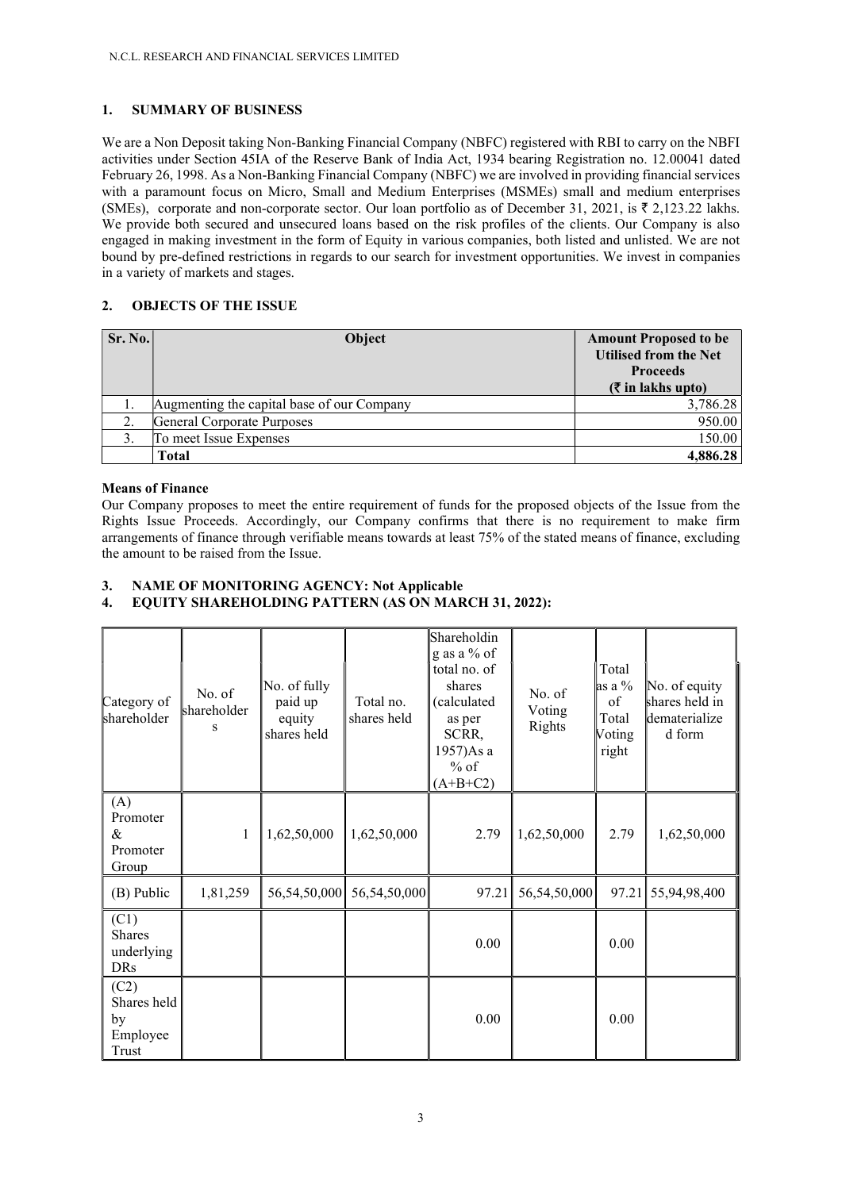## 1. SUMMARY OF BUSINESS

We are a Non Deposit taking Non-Banking Financial Company (NBFC) registered with RBI to carry on the NBFI activities under Section 45IA of the Reserve Bank of India Act, 1934 bearing Registration no. 12.00041 dated February 26, 1998. As a Non-Banking Financial Company (NBFC) we are involved in providing financial services with a paramount focus on Micro, Small and Medium Enterprises (MSMEs) small and medium enterprises (SMEs), corporate and non-corporate sector. Our loan portfolio as of December 31, 2021, is  $\bar{\tau}$  2,123.22 lakhs. We provide both secured and unsecured loans based on the risk profiles of the clients. Our Company is also engaged in making investment in the form of Equity in various companies, both listed and unlisted. We are not bound by pre-defined restrictions in regards to our search for investment opportunities. We invest in companies in a variety of markets and stages.

# 2. OBJECTS OF THE ISSUE

| Sr. No. | <b>Object</b>                              | <b>Amount Proposed to be</b><br><b>Utilised from the Net</b><br><b>Proceeds</b><br>$(\xi$ in lakhs upto) |
|---------|--------------------------------------------|----------------------------------------------------------------------------------------------------------|
|         | Augmenting the capital base of our Company | 3,786.28                                                                                                 |
|         | General Corporate Purposes                 | 950.00                                                                                                   |
|         | To meet Issue Expenses                     | 150.00                                                                                                   |
|         | Total                                      | 4,886.28                                                                                                 |

## Means of Finance

Our Company proposes to meet the entire requirement of funds for the proposed objects of the Issue from the Rights Issue Proceeds. Accordingly, our Company confirms that there is no requirement to make firm arrangements of finance through verifiable means towards at least 75% of the stated means of finance, excluding the amount to be raised from the Issue.

# 3. NAME OF MONITORING AGENCY: Not Applicable

## 4. EQUITY SHAREHOLDING PATTERN (AS ON MARCH 31, 2022):

| Category of<br>shareholder                        | No. of<br>shareholder<br>S | No. of fully<br>paid up<br>equity<br>shares held | Total no.<br>shares held | Shareholdin<br>g as a % of<br>total no. of<br>shares<br>(calculated<br>as per<br>SCRR,<br>1957)As a<br>$%$ of<br>$(A+B+C2)$ | No. of<br>Voting<br>Rights | Total<br>as a %<br>of<br>Total<br>Voting<br>right | No. of equity<br>shares held in<br>dematerialize<br>d form |
|---------------------------------------------------|----------------------------|--------------------------------------------------|--------------------------|-----------------------------------------------------------------------------------------------------------------------------|----------------------------|---------------------------------------------------|------------------------------------------------------------|
| (A)<br>Promoter<br>&<br>Promoter<br>Group         | 1                          | 1,62,50,000                                      | 1,62,50,000              | 2.79                                                                                                                        | 1,62,50,000                | 2.79                                              | 1,62,50,000                                                |
| (B) Public                                        | 1,81,259                   | 56,54,50,000                                     | 56,54,50,000             | 97.21                                                                                                                       | 56,54,50,000               | 97.21                                             | 55,94,98,400                                               |
| (C1)<br><b>Shares</b><br>underlying<br><b>DRs</b> |                            |                                                  |                          | 0.00                                                                                                                        |                            | 0.00                                              |                                                            |
| (C2)<br>Shares held<br>by<br>Employee<br>Trust    |                            |                                                  |                          | 0.00                                                                                                                        |                            | 0.00                                              |                                                            |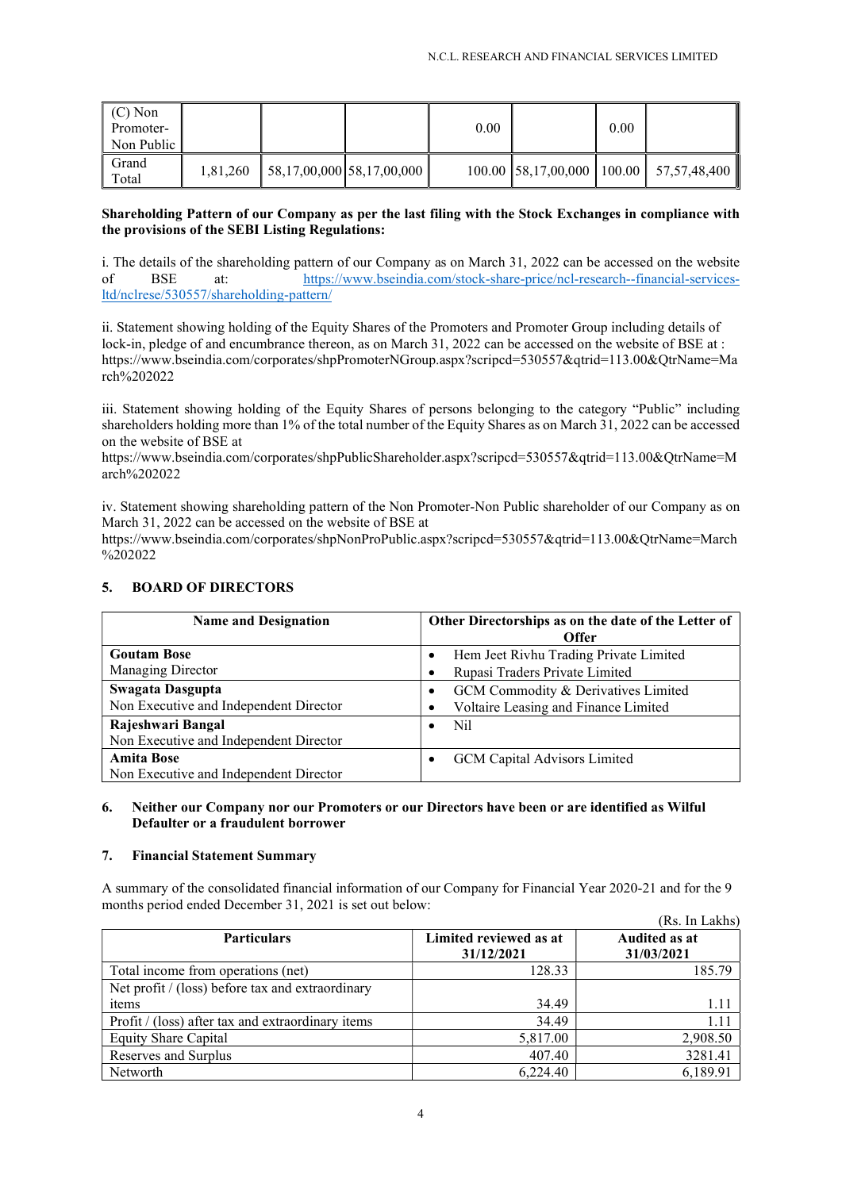| $(C)$ Non<br>Promoter-<br>Non Public |          |                                       | 0.00 | 0.00 |                                               |
|--------------------------------------|----------|---------------------------------------|------|------|-----------------------------------------------|
| Grand<br>Total                       | 1,81,260 | $\parallel$ 58,17,00,000 58,17,00,000 |      |      | 100.00   58,17,00,000   100.00   57,57,48,400 |

## Shareholding Pattern of our Company as per the last filing with the Stock Exchanges in compliance with the provisions of the SEBI Listing Regulations:

i. The details of the shareholding pattern of our Company as on March 31, 2022 can be accessed on the website of BSE at: https://www.bseindia.com/stock-share-price/ncl-research--financial-servicesltd/nclrese/530557/shareholding-pattern/

ii. Statement showing holding of the Equity Shares of the Promoters and Promoter Group including details of lock-in, pledge of and encumbrance thereon, as on March 31, 2022 can be accessed on the website of BSE at : https://www.bseindia.com/corporates/shpPromoterNGroup.aspx?scripcd=530557&qtrid=113.00&QtrName=Ma rch%202022

iii. Statement showing holding of the Equity Shares of persons belonging to the category "Public" including shareholders holding more than 1% of the total number of the Equity Shares as on March 31, 2022 can be accessed on the website of BSE at

https://www.bseindia.com/corporates/shpPublicShareholder.aspx?scripcd=530557&qtrid=113.00&OtrName=M arch%202022

iv. Statement showing shareholding pattern of the Non Promoter-Non Public shareholder of our Company as on March 31, 2022 can be accessed on the website of BSE at

https://www.bseindia.com/corporates/shpNonProPublic.aspx?scripcd=530557&qtrid=113.00&QtrName=March  $\frac{9}{202022}$ 

| <b>Name and Designation</b>            | Other Directorships as on the date of the Letter of<br><b>Offer</b> |  |  |  |
|----------------------------------------|---------------------------------------------------------------------|--|--|--|
| <b>Goutam Bose</b>                     | Hem Jeet Rivhu Trading Private Limited<br>$\bullet$                 |  |  |  |
| Managing Director                      | Rupasi Traders Private Limited<br>٠                                 |  |  |  |
| Swagata Dasgupta                       | GCM Commodity & Derivatives Limited<br>٠                            |  |  |  |
| Non Executive and Independent Director | Voltaire Leasing and Finance Limited                                |  |  |  |
| Rajeshwari Bangal                      | Nil<br>$\bullet$                                                    |  |  |  |
| Non Executive and Independent Director |                                                                     |  |  |  |
| <b>Amita Bose</b>                      | GCM Capital Advisors Limited<br>$\bullet$                           |  |  |  |
| Non Executive and Independent Director |                                                                     |  |  |  |

## 5. BOARD OF DIRECTORS

## 6. Neither our Company nor our Promoters or our Directors have been or are identified as Wilful Defaulter or a fraudulent borrower

## 7. Financial Statement Summary

A summary of the consolidated financial information of our Company for Financial Year 2020-21 and for the 9 months period ended December 31, 2021 is set out below:  $\mathbf{r}$   $\mathbf{r}$   $\mathbf{r}$   $\mathbf{r}$   $\mathbf{r}$ 

|                                                   |                        | (Rs. In Lakhs) |
|---------------------------------------------------|------------------------|----------------|
| <b>Particulars</b>                                | Limited reviewed as at | Audited as at  |
|                                                   | 31/12/2021             | 31/03/2021     |
| Total income from operations (net)                | 128.33                 | 185.79         |
| Net profit / (loss) before tax and extraordinary  |                        |                |
| items                                             | 34.49                  | 1.11           |
| Profit / (loss) after tax and extraordinary items | 34.49                  | 1.11           |
| <b>Equity Share Capital</b>                       | 5,817.00               | 2,908.50       |
| Reserves and Surplus                              | 407.40                 | 3281.41        |
| Networth                                          | 6,224.40               | 6,189.91       |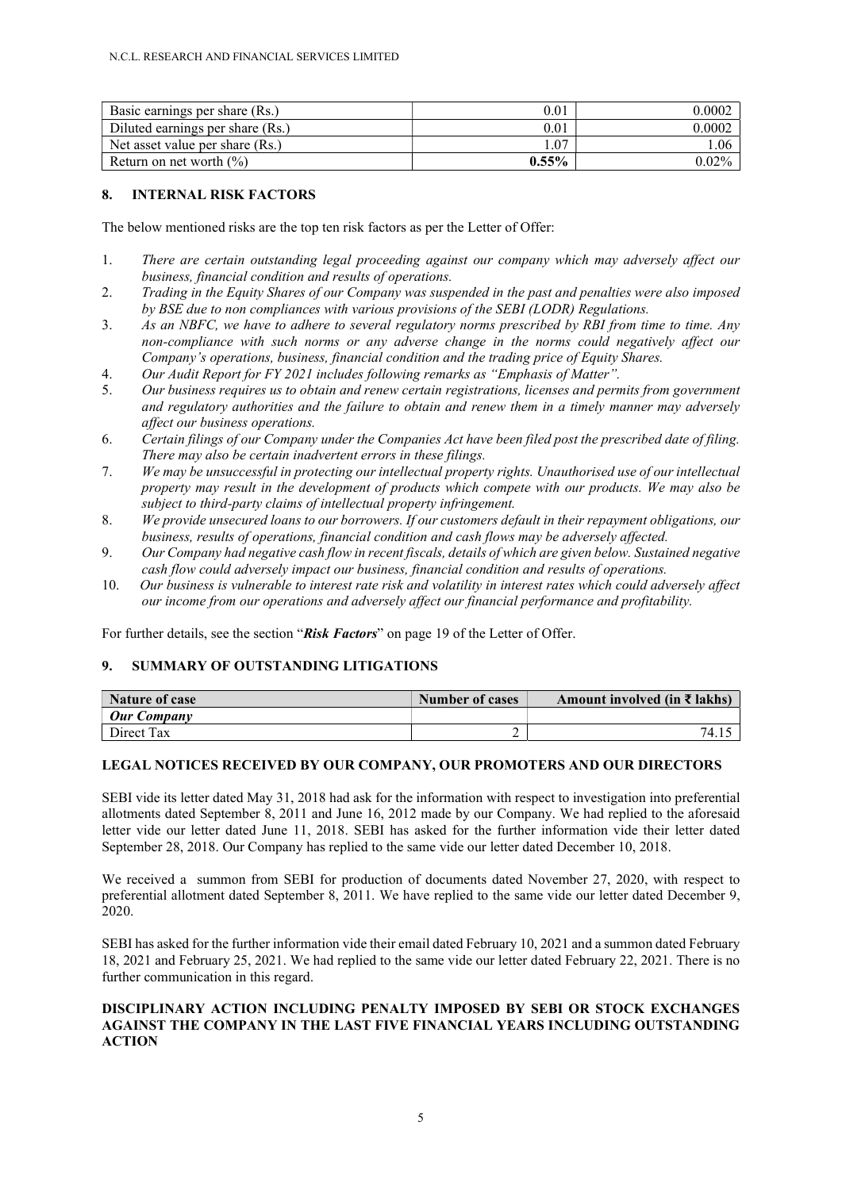| Basic earnings per share (Rs.)   | $0.01\,$ | 0.0002   |
|----------------------------------|----------|----------|
| Diluted earnings per share (Rs.) | $0.01\,$ | 0.0002   |
| Net asset value per share (Rs.)  | .07      | .06      |
| Return on net worth $(\% )$      | $0.55\%$ | $0.02\%$ |

## 8. INTERNAL RISK FACTORS

The below mentioned risks are the top ten risk factors as per the Letter of Offer:

- 1. There are certain outstanding legal proceeding against our company which may adversely affect our business, financial condition and results of operations.
- 2. Trading in the Equity Shares of our Company was suspended in the past and penalties were also imposed by BSE due to non compliances with various provisions of the SEBI (LODR) Regulations.
- 3. As an NBFC, we have to adhere to several regulatory norms prescribed by RBI from time to time. Any non-compliance with such norms or any adverse change in the norms could negatively affect our Company's operations, business, financial condition and the trading price of Equity Shares.
- 4. Our Audit Report for FY 2021 includes following remarks as "Emphasis of Matter".
- 5. Our business requires us to obtain and renew certain registrations, licenses and permits from government and regulatory authorities and the failure to obtain and renew them in a timely manner may adversely affect our business operations.
- 6. Certain filings of our Company under the Companies Act have been filed post the prescribed date of filing. There may also be certain inadvertent errors in these filings.
- 7. We may be unsuccessful in protecting our intellectual property rights. Unauthorised use of our intellectual property may result in the development of products which compete with our products. We may also be subject to third-party claims of intellectual property infringement.
- 8. We provide unsecured loans to our borrowers. If our customers default in their repayment obligations, our business, results of operations, financial condition and cash flows may be adversely affected.
- 9. Our Company had negative cash flow in recent fiscals, details of which are given below. Sustained negative cash flow could adversely impact our business, financial condition and results of operations.
- 10. Our business is vulnerable to interest rate risk and volatility in interest rates which could adversely affect our income from our operations and adversely affect our financial performance and profitability.

For further details, see the section "**Risk Factors**" on page 19 of the Letter of Offer.

## 9. SUMMARY OF OUTSTANDING LITIGATIONS

| Nature of case     | <b>Number of cases</b> | Amount involved (in $\bar{\tau}$ lakhs) |
|--------------------|------------------------|-----------------------------------------|
| <b>Our Company</b> |                        |                                         |
| Direct Tax         | ∸                      | 74.1.                                   |

## LEGAL NOTICES RECEIVED BY OUR COMPANY, OUR PROMOTERS AND OUR DIRECTORS

SEBI vide its letter dated May 31, 2018 had ask for the information with respect to investigation into preferential allotments dated September 8, 2011 and June 16, 2012 made by our Company. We had replied to the aforesaid letter vide our letter dated June 11, 2018. SEBI has asked for the further information vide their letter dated September 28, 2018. Our Company has replied to the same vide our letter dated December 10, 2018.

We received a summon from SEBI for production of documents dated November 27, 2020, with respect to preferential allotment dated September 8, 2011. We have replied to the same vide our letter dated December 9, 2020.

SEBI has asked for the further information vide their email dated February 10, 2021 and a summon dated February 18, 2021 and February 25, 2021. We had replied to the same vide our letter dated February 22, 2021. There is no further communication in this regard.

### DISCIPLINARY ACTION INCLUDING PENALTY IMPOSED BY SEBI OR STOCK EXCHANGES AGAINST THE COMPANY IN THE LAST FIVE FINANCIAL YEARS INCLUDING OUTSTANDING ACTION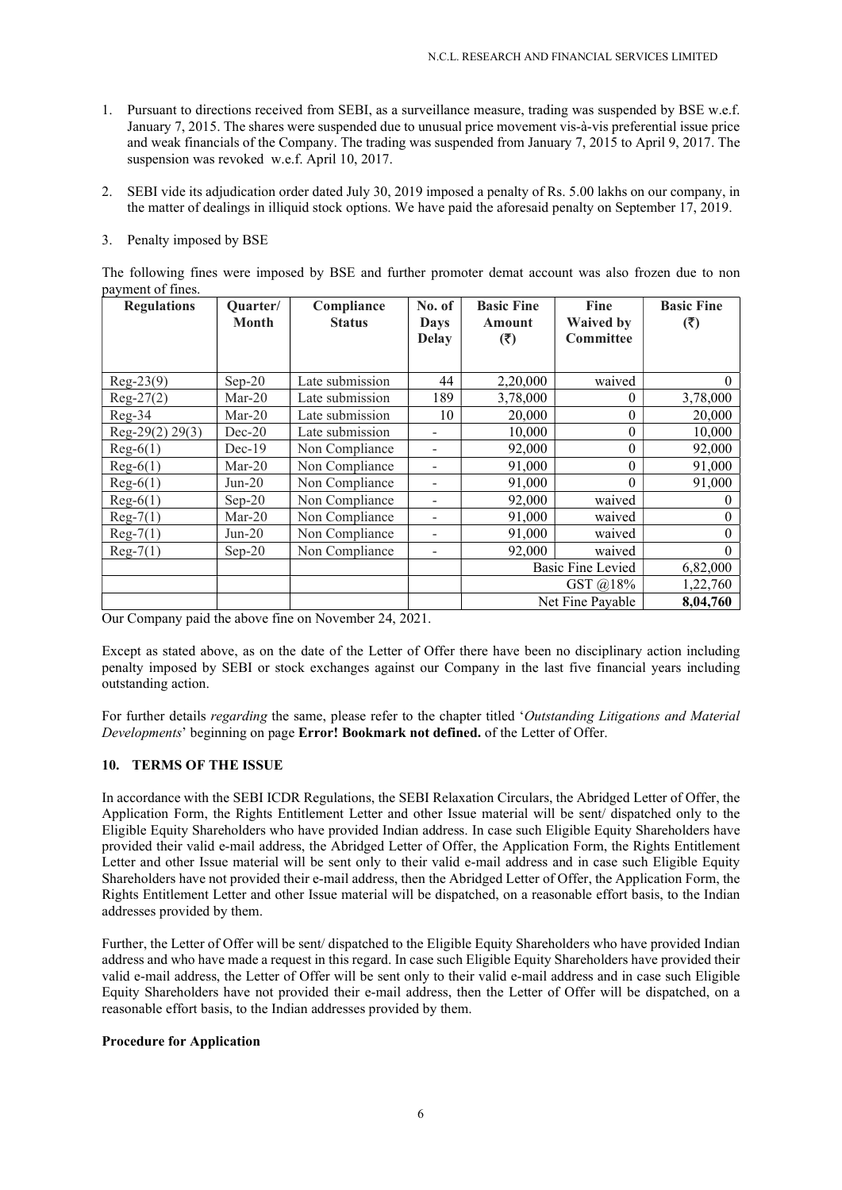- 1. Pursuant to directions received from SEBI, as a surveillance measure, trading was suspended by BSE w.e.f. January 7, 2015. The shares were suspended due to unusual price movement vis-à-vis preferential issue price and weak financials of the Company. The trading was suspended from January 7, 2015 to April 9, 2017. The suspension was revoked w.e.f. April 10, 2017.
- 2. SEBI vide its adjudication order dated July 30, 2019 imposed a penalty of Rs. 5.00 lakhs on our company, in the matter of dealings in illiquid stock options. We have paid the aforesaid penalty on September 17, 2019.

## 3. Penalty imposed by BSE

The following fines were imposed by BSE and further promoter demat account was also frozen due to non payment of fines.

| <b>Regulations</b>    | Quarter/<br><b>Month</b> | Compliance<br><b>Status</b> | No. of<br><b>Days</b><br><b>Delay</b> | <b>Basic Fine</b><br><b>Amount</b><br>(3) | <b>Fine</b><br><b>Waived by</b><br><b>Committee</b> | <b>Basic Fine</b><br>(5) |
|-----------------------|--------------------------|-----------------------------|---------------------------------------|-------------------------------------------|-----------------------------------------------------|--------------------------|
| $Reg-23(9)$           | $Sep-20$                 | Late submission             | 44                                    | 2,20,000                                  | waived                                              | $\theta$                 |
| $Reg-27(2)$           | $Mar-20$                 | Late submission             | 189                                   | 3,78,000                                  | 0                                                   | 3,78,000                 |
| Reg-34                | $Mar-20$                 | Late submission             | 10                                    | 20,000                                    | $\boldsymbol{0}$                                    | 20,000                   |
| Reg-29 $(2)$ 29 $(3)$ | $Dec-20$                 | Late submission             | ۰                                     | 10,000                                    | $\boldsymbol{0}$                                    | 10,000                   |
| $Reg-6(1)$            | $Dec-19$                 | Non Compliance              | $\overline{a}$                        | 92,000                                    | $\boldsymbol{0}$                                    | 92,000                   |
| $Reg-6(1)$            | $Mar-20$                 | Non Compliance              | $\overline{a}$                        | 91,000                                    | $\theta$                                            | 91,000                   |
| $Reg-6(1)$            | $Jun-20$                 | Non Compliance              | $\overline{\phantom{0}}$              | 91,000                                    | $\theta$                                            | 91,000                   |
| $Reg-6(1)$            | $Sep-20$                 | Non Compliance              | $\qquad \qquad \blacksquare$          | 92,000                                    | waived                                              | $\theta$                 |
| $Reg-7(1)$            | $Mar-20$                 | Non Compliance              | $\qquad \qquad \blacksquare$          | 91,000                                    | waived                                              | $\Omega$                 |
| $Reg-7(1)$            | $Jun-20$                 | Non Compliance              | $\overline{\phantom{0}}$              | 91,000                                    | waived                                              | $\Omega$                 |
| $Reg-7(1)$            | $Sep-20$                 | Non Compliance              | $\overline{\phantom{0}}$              | 92,000                                    | waived                                              | $\Omega$                 |
|                       |                          |                             |                                       |                                           | <b>Basic Fine Levied</b>                            | 6,82,000                 |
|                       |                          |                             |                                       | GST $\omega$ 18%                          |                                                     | 1,22,760                 |
|                       |                          |                             |                                       |                                           | Net Fine Payable                                    | 8,04,760                 |

Our Company paid the above fine on November 24, 2021.

Except as stated above, as on the date of the Letter of Offer there have been no disciplinary action including penalty imposed by SEBI or stock exchanges against our Company in the last five financial years including outstanding action.

For further details *regarding* the same, please refer to the chapter titled 'Outstanding Litigations and Material Developments' beginning on page **Error! Bookmark not defined.** of the Letter of Offer.

## 10. TERMS OF THE ISSUE

In accordance with the SEBI ICDR Regulations, the SEBI Relaxation Circulars, the Abridged Letter of Offer, the Application Form, the Rights Entitlement Letter and other Issue material will be sent/ dispatched only to the Eligible Equity Shareholders who have provided Indian address. In case such Eligible Equity Shareholders have provided their valid e-mail address, the Abridged Letter of Offer, the Application Form, the Rights Entitlement Letter and other Issue material will be sent only to their valid e-mail address and in case such Eligible Equity Shareholders have not provided their e-mail address, then the Abridged Letter of Offer, the Application Form, the Rights Entitlement Letter and other Issue material will be dispatched, on a reasonable effort basis, to the Indian addresses provided by them.

Further, the Letter of Offer will be sent/ dispatched to the Eligible Equity Shareholders who have provided Indian address and who have made a request in this regard. In case such Eligible Equity Shareholders have provided their valid e-mail address, the Letter of Offer will be sent only to their valid e-mail address and in case such Eligible Equity Shareholders have not provided their e-mail address, then the Letter of Offer will be dispatched, on a reasonable effort basis, to the Indian addresses provided by them.

## Procedure for Application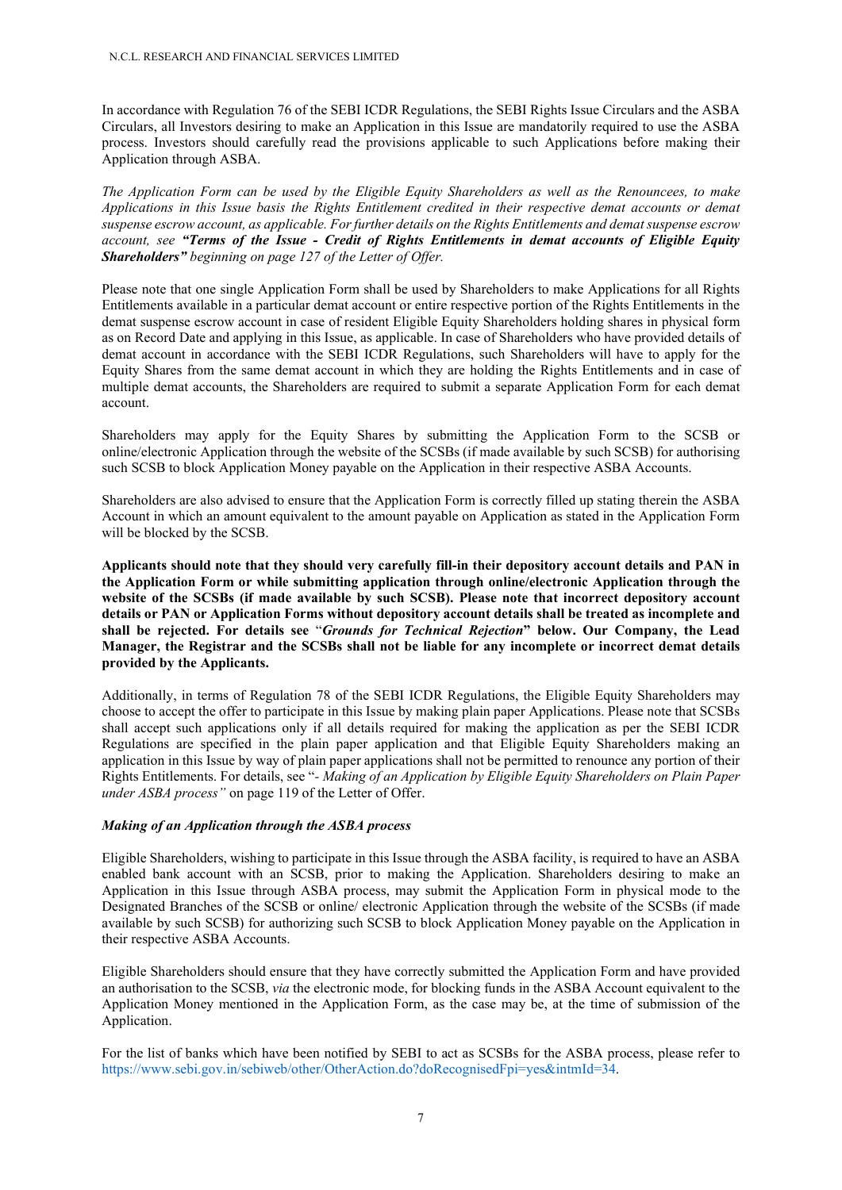In accordance with Regulation 76 of the SEBI ICDR Regulations, the SEBI Rights Issue Circulars and the ASBA Circulars, all Investors desiring to make an Application in this Issue are mandatorily required to use the ASBA process. Investors should carefully read the provisions applicable to such Applications before making their Application through ASBA.

The Application Form can be used by the Eligible Equity Shareholders as well as the Renouncees, to make Applications in this Issue basis the Rights Entitlement credited in their respective demat accounts or demat suspense escrow account, as applicable. For further details on the Rights Entitlements and demat suspense escrow account, see "Terms of the Issue - Credit of Rights Entitlements in demat accounts of Eligible Equity Shareholders" beginning on page 127 of the Letter of Offer.

Please note that one single Application Form shall be used by Shareholders to make Applications for all Rights Entitlements available in a particular demat account or entire respective portion of the Rights Entitlements in the demat suspense escrow account in case of resident Eligible Equity Shareholders holding shares in physical form as on Record Date and applying in this Issue, as applicable. In case of Shareholders who have provided details of demat account in accordance with the SEBI ICDR Regulations, such Shareholders will have to apply for the Equity Shares from the same demat account in which they are holding the Rights Entitlements and in case of multiple demat accounts, the Shareholders are required to submit a separate Application Form for each demat account.

Shareholders may apply for the Equity Shares by submitting the Application Form to the SCSB or online/electronic Application through the website of the SCSBs (if made available by such SCSB) for authorising such SCSB to block Application Money payable on the Application in their respective ASBA Accounts.

Shareholders are also advised to ensure that the Application Form is correctly filled up stating therein the ASBA Account in which an amount equivalent to the amount payable on Application as stated in the Application Form will be blocked by the SCSB.

Applicants should note that they should very carefully fill-in their depository account details and PAN in the Application Form or while submitting application through online/electronic Application through the website of the SCSBs (if made available by such SCSB). Please note that incorrect depository account details or PAN or Application Forms without depository account details shall be treated as incomplete and shall be rejected. For details see "Grounds for Technical Rejection" below. Our Company, the Lead Manager, the Registrar and the SCSBs shall not be liable for any incomplete or incorrect demat details provided by the Applicants.

Additionally, in terms of Regulation 78 of the SEBI ICDR Regulations, the Eligible Equity Shareholders may choose to accept the offer to participate in this Issue by making plain paper Applications. Please note that SCSBs shall accept such applications only if all details required for making the application as per the SEBI ICDR Regulations are specified in the plain paper application and that Eligible Equity Shareholders making an application in this Issue by way of plain paper applications shall not be permitted to renounce any portion of their Rights Entitlements. For details, see "- Making of an Application by Eligible Equity Shareholders on Plain Paper under ASBA process" on page 119 of the Letter of Offer.

### Making of an Application through the ASBA process

Eligible Shareholders, wishing to participate in this Issue through the ASBA facility, is required to have an ASBA enabled bank account with an SCSB, prior to making the Application. Shareholders desiring to make an Application in this Issue through ASBA process, may submit the Application Form in physical mode to the Designated Branches of the SCSB or online/ electronic Application through the website of the SCSBs (if made available by such SCSB) for authorizing such SCSB to block Application Money payable on the Application in their respective ASBA Accounts.

Eligible Shareholders should ensure that they have correctly submitted the Application Form and have provided an authorisation to the SCSB, via the electronic mode, for blocking funds in the ASBA Account equivalent to the Application Money mentioned in the Application Form, as the case may be, at the time of submission of the Application.

For the list of banks which have been notified by SEBI to act as SCSBs for the ASBA process, please refer to https://www.sebi.gov.in/sebiweb/other/OtherAction.do?doRecognisedFpi=yes&intmId=34.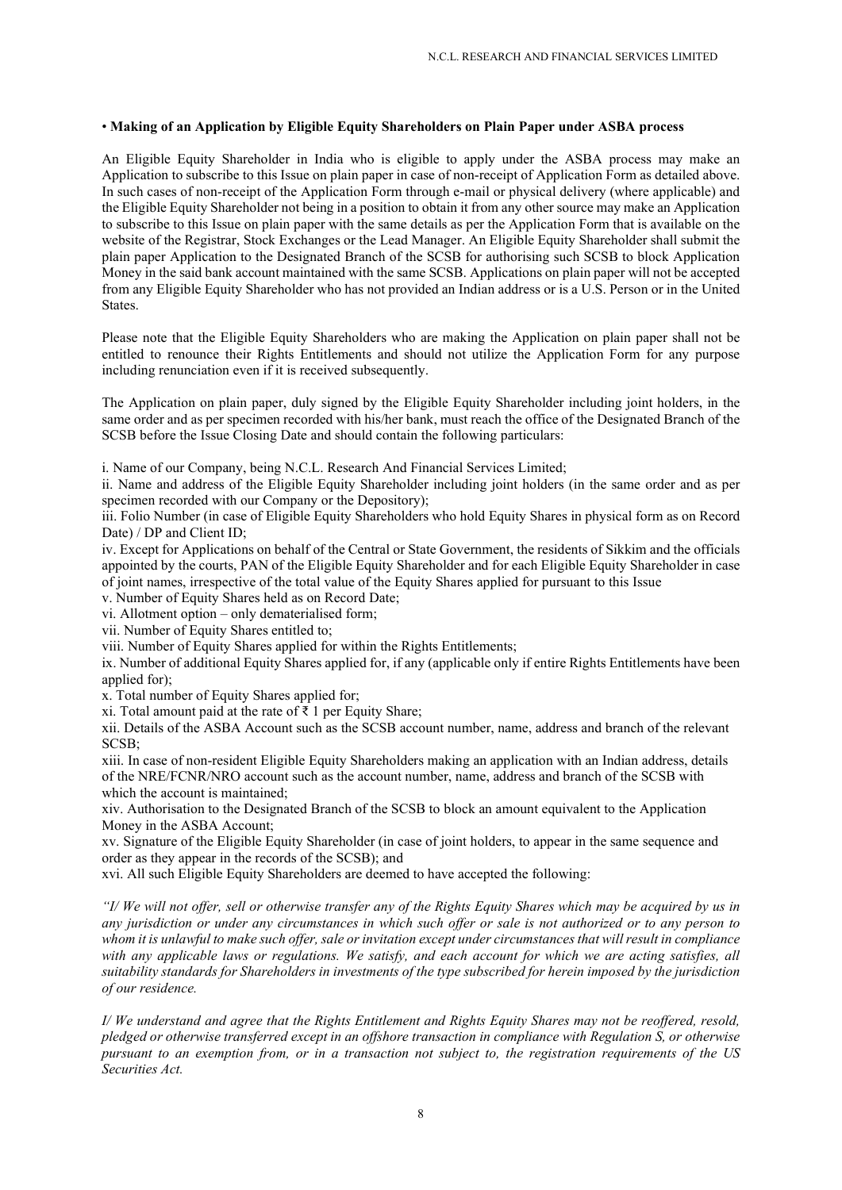### • Making of an Application by Eligible Equity Shareholders on Plain Paper under ASBA process

An Eligible Equity Shareholder in India who is eligible to apply under the ASBA process may make an Application to subscribe to this Issue on plain paper in case of non-receipt of Application Form as detailed above. In such cases of non-receipt of the Application Form through e-mail or physical delivery (where applicable) and the Eligible Equity Shareholder not being in a position to obtain it from any other source may make an Application to subscribe to this Issue on plain paper with the same details as per the Application Form that is available on the website of the Registrar, Stock Exchanges or the Lead Manager. An Eligible Equity Shareholder shall submit the plain paper Application to the Designated Branch of the SCSB for authorising such SCSB to block Application Money in the said bank account maintained with the same SCSB. Applications on plain paper will not be accepted from any Eligible Equity Shareholder who has not provided an Indian address or is a U.S. Person or in the United States.

Please note that the Eligible Equity Shareholders who are making the Application on plain paper shall not be entitled to renounce their Rights Entitlements and should not utilize the Application Form for any purpose including renunciation even if it is received subsequently.

The Application on plain paper, duly signed by the Eligible Equity Shareholder including joint holders, in the same order and as per specimen recorded with his/her bank, must reach the office of the Designated Branch of the SCSB before the Issue Closing Date and should contain the following particulars:

i. Name of our Company, being N.C.L. Research And Financial Services Limited;

ii. Name and address of the Eligible Equity Shareholder including joint holders (in the same order and as per specimen recorded with our Company or the Depository);

iii. Folio Number (in case of Eligible Equity Shareholders who hold Equity Shares in physical form as on Record Date) / DP and Client ID;

iv. Except for Applications on behalf of the Central or State Government, the residents of Sikkim and the officials appointed by the courts, PAN of the Eligible Equity Shareholder and for each Eligible Equity Shareholder in case of joint names, irrespective of the total value of the Equity Shares applied for pursuant to this Issue

v. Number of Equity Shares held as on Record Date;

vi. Allotment option – only dematerialised form;

vii. Number of Equity Shares entitled to;

viii. Number of Equity Shares applied for within the Rights Entitlements;

ix. Number of additional Equity Shares applied for, if any (applicable only if entire Rights Entitlements have been applied for);

x. Total number of Equity Shares applied for;

xi. Total amount paid at the rate of ₹ 1 per Equity Share;

xii. Details of the ASBA Account such as the SCSB account number, name, address and branch of the relevant SCSB;

xiii. In case of non-resident Eligible Equity Shareholders making an application with an Indian address, details of the NRE/FCNR/NRO account such as the account number, name, address and branch of the SCSB with which the account is maintained;

xiv. Authorisation to the Designated Branch of the SCSB to block an amount equivalent to the Application Money in the ASBA Account;

xv. Signature of the Eligible Equity Shareholder (in case of joint holders, to appear in the same sequence and order as they appear in the records of the SCSB); and

xvi. All such Eligible Equity Shareholders are deemed to have accepted the following:

"I/ We will not offer, sell or otherwise transfer any of the Rights Equity Shares which may be acquired by us in any jurisdiction or under any circumstances in which such offer or sale is not authorized or to any person to whom it is unlawful to make such offer, sale or invitation except under circumstances that will result in compliance with any applicable laws or regulations. We satisfy, and each account for which we are acting satisfies, all suitability standards for Shareholders in investments of the type subscribed for herein imposed by the jurisdiction of our residence.

I/ We understand and agree that the Rights Entitlement and Rights Equity Shares may not be reoffered, resold, pledged or otherwise transferred except in an offshore transaction in compliance with Regulation S, or otherwise pursuant to an exemption from, or in a transaction not subject to, the registration requirements of the US Securities Act.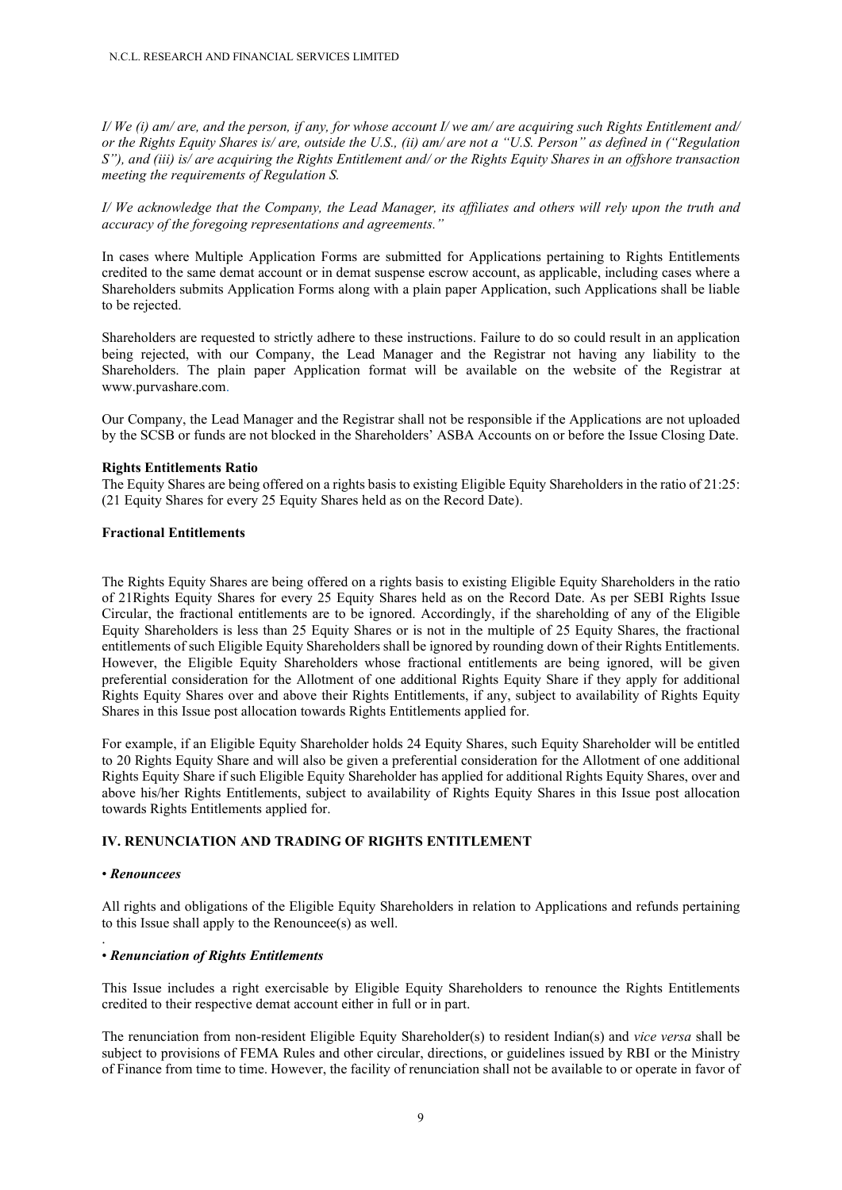I/ We (i) am/ are, and the person, if any, for whose account I/ we am/ are acquiring such Rights Entitlement and/ or the Rights Equity Shares is/ are, outside the U.S., (ii) am/ are not a "U.S. Person" as defined in ("Regulation S"), and (iii) is/ are acquiring the Rights Entitlement and/ or the Rights Equity Shares in an offshore transaction meeting the requirements of Regulation S.

I/ We acknowledge that the Company, the Lead Manager, its affiliates and others will rely upon the truth and accuracy of the foregoing representations and agreements."

In cases where Multiple Application Forms are submitted for Applications pertaining to Rights Entitlements credited to the same demat account or in demat suspense escrow account, as applicable, including cases where a Shareholders submits Application Forms along with a plain paper Application, such Applications shall be liable to be rejected.

Shareholders are requested to strictly adhere to these instructions. Failure to do so could result in an application being rejected, with our Company, the Lead Manager and the Registrar not having any liability to the Shareholders. The plain paper Application format will be available on the website of the Registrar at www.purvashare.com.

Our Company, the Lead Manager and the Registrar shall not be responsible if the Applications are not uploaded by the SCSB or funds are not blocked in the Shareholders' ASBA Accounts on or before the Issue Closing Date.

#### Rights Entitlements Ratio

The Equity Shares are being offered on a rights basis to existing Eligible Equity Shareholders in the ratio of 21:25: (21 Equity Shares for every 25 Equity Shares held as on the Record Date).

### Fractional Entitlements

The Rights Equity Shares are being offered on a rights basis to existing Eligible Equity Shareholders in the ratio of 21Rights Equity Shares for every 25 Equity Shares held as on the Record Date. As per SEBI Rights Issue Circular, the fractional entitlements are to be ignored. Accordingly, if the shareholding of any of the Eligible Equity Shareholders is less than 25 Equity Shares or is not in the multiple of 25 Equity Shares, the fractional entitlements of such Eligible Equity Shareholders shall be ignored by rounding down of their Rights Entitlements. However, the Eligible Equity Shareholders whose fractional entitlements are being ignored, will be given preferential consideration for the Allotment of one additional Rights Equity Share if they apply for additional Rights Equity Shares over and above their Rights Entitlements, if any, subject to availability of Rights Equity Shares in this Issue post allocation towards Rights Entitlements applied for.

For example, if an Eligible Equity Shareholder holds 24 Equity Shares, such Equity Shareholder will be entitled to 20 Rights Equity Share and will also be given a preferential consideration for the Allotment of one additional Rights Equity Share if such Eligible Equity Shareholder has applied for additional Rights Equity Shares, over and above his/her Rights Entitlements, subject to availability of Rights Equity Shares in this Issue post allocation towards Rights Entitlements applied for.

## IV. RENUNCIATION AND TRADING OF RIGHTS ENTITLEMENT

### • Renouncees

.

All rights and obligations of the Eligible Equity Shareholders in relation to Applications and refunds pertaining to this Issue shall apply to the Renouncee(s) as well.

#### • Renunciation of Rights Entitlements

This Issue includes a right exercisable by Eligible Equity Shareholders to renounce the Rights Entitlements credited to their respective demat account either in full or in part.

The renunciation from non-resident Eligible Equity Shareholder(s) to resident Indian(s) and vice versa shall be subject to provisions of FEMA Rules and other circular, directions, or guidelines issued by RBI or the Ministry of Finance from time to time. However, the facility of renunciation shall not be available to or operate in favor of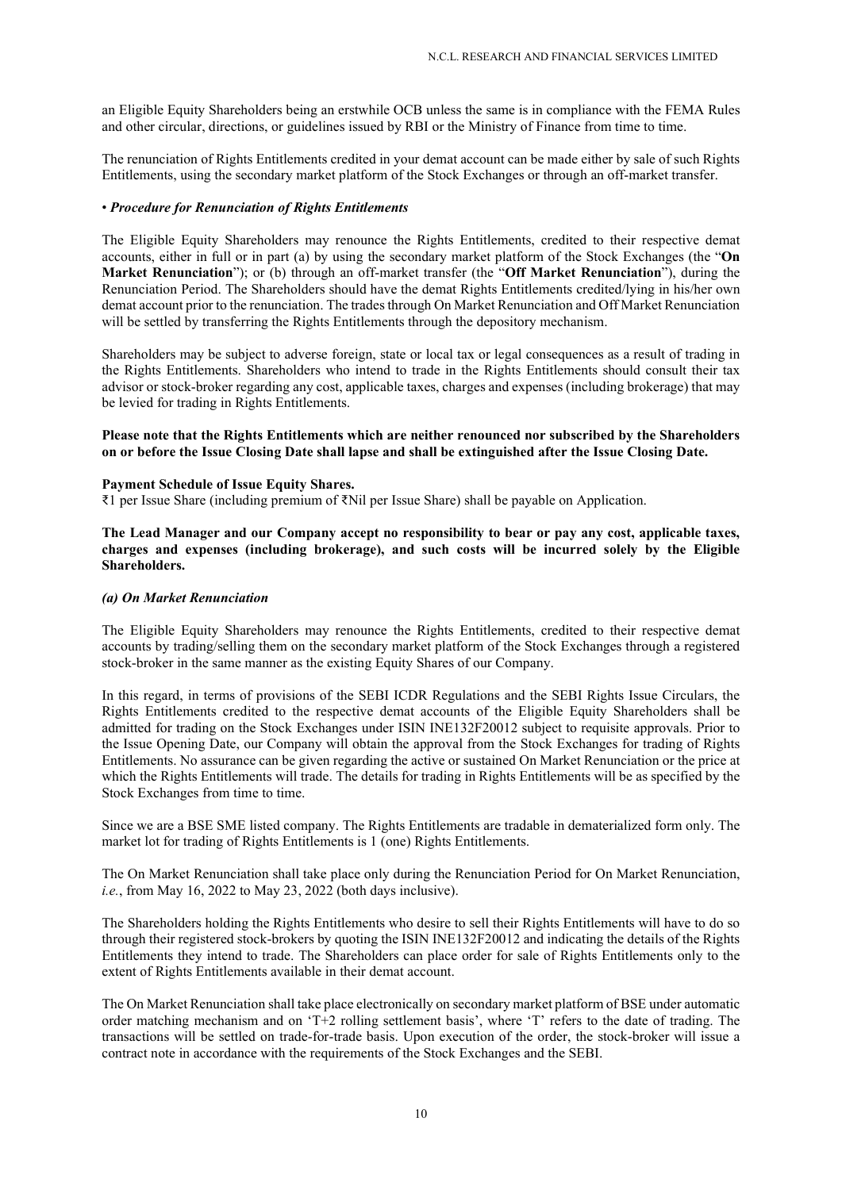an Eligible Equity Shareholders being an erstwhile OCB unless the same is in compliance with the FEMA Rules and other circular, directions, or guidelines issued by RBI or the Ministry of Finance from time to time.

The renunciation of Rights Entitlements credited in your demat account can be made either by sale of such Rights Entitlements, using the secondary market platform of the Stock Exchanges or through an off-market transfer.

### • Procedure for Renunciation of Rights Entitlements

The Eligible Equity Shareholders may renounce the Rights Entitlements, credited to their respective demat accounts, either in full or in part (a) by using the secondary market platform of the Stock Exchanges (the "On Market Renunciation"); or (b) through an off-market transfer (the "Off Market Renunciation"), during the Renunciation Period. The Shareholders should have the demat Rights Entitlements credited/lying in his/her own demat account prior to the renunciation. The trades through On Market Renunciation and Off Market Renunciation will be settled by transferring the Rights Entitlements through the depository mechanism.

Shareholders may be subject to adverse foreign, state or local tax or legal consequences as a result of trading in the Rights Entitlements. Shareholders who intend to trade in the Rights Entitlements should consult their tax advisor or stock-broker regarding any cost, applicable taxes, charges and expenses (including brokerage) that may be levied for trading in Rights Entitlements.

### Please note that the Rights Entitlements which are neither renounced nor subscribed by the Shareholders on or before the Issue Closing Date shall lapse and shall be extinguished after the Issue Closing Date.

#### Payment Schedule of Issue Equity Shares.

₹1 per Issue Share (including premium of ₹Nil per Issue Share) shall be payable on Application.

The Lead Manager and our Company accept no responsibility to bear or pay any cost, applicable taxes, charges and expenses (including brokerage), and such costs will be incurred solely by the Eligible Shareholders.

#### (a) On Market Renunciation

The Eligible Equity Shareholders may renounce the Rights Entitlements, credited to their respective demat accounts by trading/selling them on the secondary market platform of the Stock Exchanges through a registered stock-broker in the same manner as the existing Equity Shares of our Company.

In this regard, in terms of provisions of the SEBI ICDR Regulations and the SEBI Rights Issue Circulars, the Rights Entitlements credited to the respective demat accounts of the Eligible Equity Shareholders shall be admitted for trading on the Stock Exchanges under ISIN INE132F20012 subject to requisite approvals. Prior to the Issue Opening Date, our Company will obtain the approval from the Stock Exchanges for trading of Rights Entitlements. No assurance can be given regarding the active or sustained On Market Renunciation or the price at which the Rights Entitlements will trade. The details for trading in Rights Entitlements will be as specified by the Stock Exchanges from time to time.

Since we are a BSE SME listed company. The Rights Entitlements are tradable in dematerialized form only. The market lot for trading of Rights Entitlements is 1 (one) Rights Entitlements.

The On Market Renunciation shall take place only during the Renunciation Period for On Market Renunciation, *i.e.*, from May 16, 2022 to May 23, 2022 (both days inclusive).

The Shareholders holding the Rights Entitlements who desire to sell their Rights Entitlements will have to do so through their registered stock-brokers by quoting the ISIN INE132F20012 and indicating the details of the Rights Entitlements they intend to trade. The Shareholders can place order for sale of Rights Entitlements only to the extent of Rights Entitlements available in their demat account.

The On Market Renunciation shall take place electronically on secondary market platform of BSE under automatic order matching mechanism and on 'T+2 rolling settlement basis', where 'T' refers to the date of trading. The transactions will be settled on trade-for-trade basis. Upon execution of the order, the stock-broker will issue a contract note in accordance with the requirements of the Stock Exchanges and the SEBI.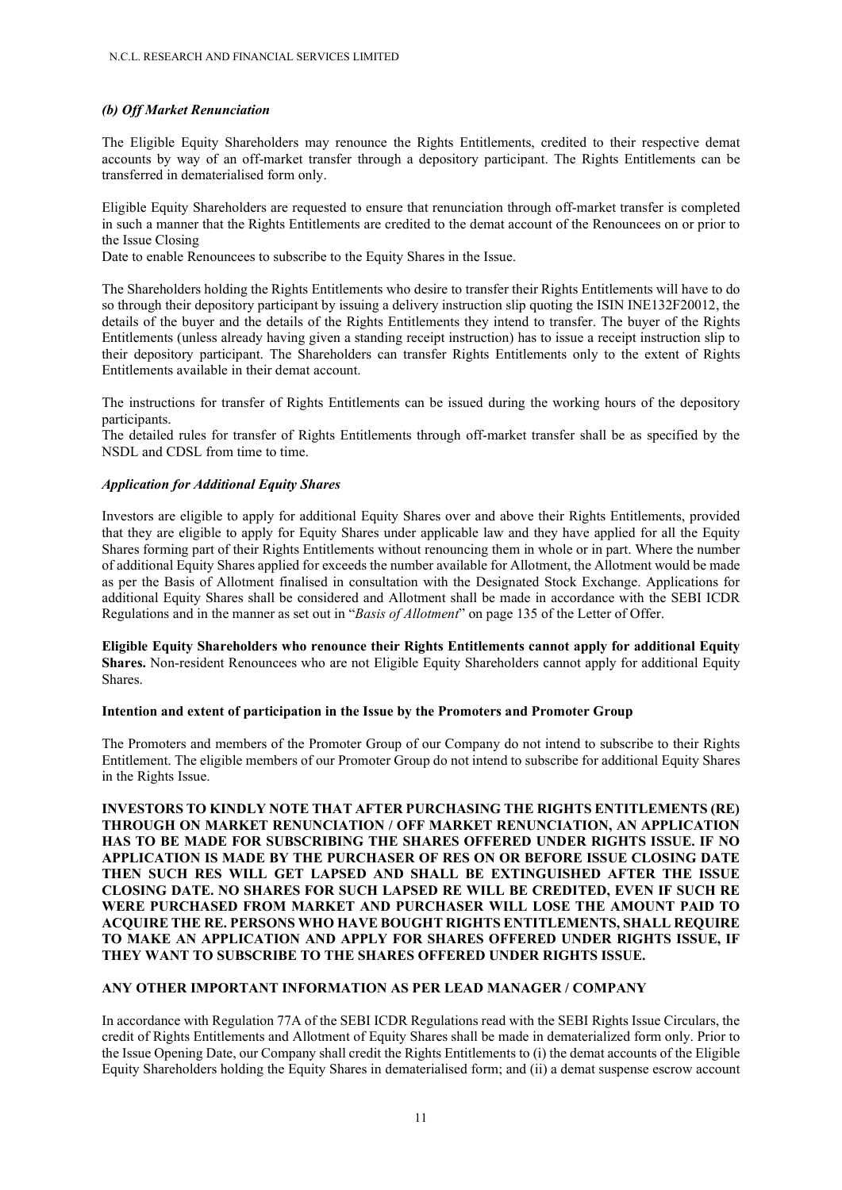## (b) Off Market Renunciation

The Eligible Equity Shareholders may renounce the Rights Entitlements, credited to their respective demat accounts by way of an off-market transfer through a depository participant. The Rights Entitlements can be transferred in dematerialised form only.

Eligible Equity Shareholders are requested to ensure that renunciation through off-market transfer is completed in such a manner that the Rights Entitlements are credited to the demat account of the Renouncees on or prior to the Issue Closing

Date to enable Renouncees to subscribe to the Equity Shares in the Issue.

The Shareholders holding the Rights Entitlements who desire to transfer their Rights Entitlements will have to do so through their depository participant by issuing a delivery instruction slip quoting the ISIN INE132F20012, the details of the buyer and the details of the Rights Entitlements they intend to transfer. The buyer of the Rights Entitlements (unless already having given a standing receipt instruction) has to issue a receipt instruction slip to their depository participant. The Shareholders can transfer Rights Entitlements only to the extent of Rights Entitlements available in their demat account.

The instructions for transfer of Rights Entitlements can be issued during the working hours of the depository participants.

The detailed rules for transfer of Rights Entitlements through off-market transfer shall be as specified by the NSDL and CDSL from time to time.

## Application for Additional Equity Shares

Investors are eligible to apply for additional Equity Shares over and above their Rights Entitlements, provided that they are eligible to apply for Equity Shares under applicable law and they have applied for all the Equity Shares forming part of their Rights Entitlements without renouncing them in whole or in part. Where the number of additional Equity Shares applied for exceeds the number available for Allotment, the Allotment would be made as per the Basis of Allotment finalised in consultation with the Designated Stock Exchange. Applications for additional Equity Shares shall be considered and Allotment shall be made in accordance with the SEBI ICDR Regulations and in the manner as set out in "*Basis of Allotment*" on page 135 of the Letter of Offer.

Eligible Equity Shareholders who renounce their Rights Entitlements cannot apply for additional Equity Shares. Non-resident Renouncees who are not Eligible Equity Shareholders cannot apply for additional Equity Shares.

### Intention and extent of participation in the Issue by the Promoters and Promoter Group

The Promoters and members of the Promoter Group of our Company do not intend to subscribe to their Rights Entitlement. The eligible members of our Promoter Group do not intend to subscribe for additional Equity Shares in the Rights Issue.

INVESTORS TO KINDLY NOTE THAT AFTER PURCHASING THE RIGHTS ENTITLEMENTS (RE) THROUGH ON MARKET RENUNCIATION / OFF MARKET RENUNCIATION, AN APPLICATION HAS TO BE MADE FOR SUBSCRIBING THE SHARES OFFERED UNDER RIGHTS ISSUE. IF NO APPLICATION IS MADE BY THE PURCHASER OF RES ON OR BEFORE ISSUE CLOSING DATE THEN SUCH RES WILL GET LAPSED AND SHALL BE EXTINGUISHED AFTER THE ISSUE CLOSING DATE. NO SHARES FOR SUCH LAPSED RE WILL BE CREDITED, EVEN IF SUCH RE WERE PURCHASED FROM MARKET AND PURCHASER WILL LOSE THE AMOUNT PAID TO ACQUIRE THE RE. PERSONS WHO HAVE BOUGHT RIGHTS ENTITLEMENTS, SHALL REQUIRE TO MAKE AN APPLICATION AND APPLY FOR SHARES OFFERED UNDER RIGHTS ISSUE, IF THEY WANT TO SUBSCRIBE TO THE SHARES OFFERED UNDER RIGHTS ISSUE.

## ANY OTHER IMPORTANT INFORMATION AS PER LEAD MANAGER / COMPANY

In accordance with Regulation 77A of the SEBI ICDR Regulations read with the SEBI Rights Issue Circulars, the credit of Rights Entitlements and Allotment of Equity Shares shall be made in dematerialized form only. Prior to the Issue Opening Date, our Company shall credit the Rights Entitlements to (i) the demat accounts of the Eligible Equity Shareholders holding the Equity Shares in dematerialised form; and (ii) a demat suspense escrow account